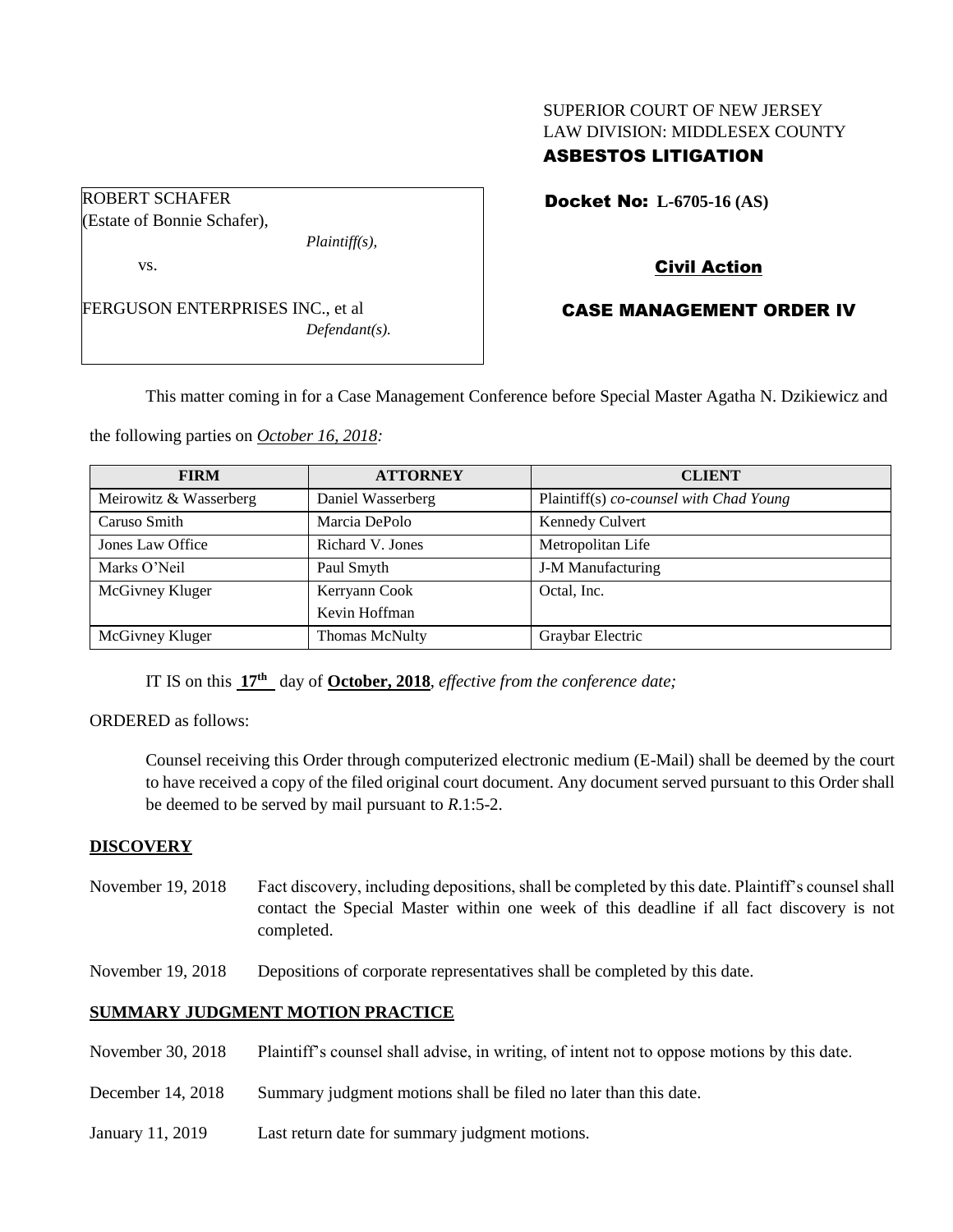## SUPERIOR COURT OF NEW JERSEY LAW DIVISION: MIDDLESEX COUNTY ASBESTOS LITIGATION

Docket No: **L-6705-16 (AS)** 

(Estate of Bonnie Schafer),

ROBERT SCHAFER

*Plaintiff(s),*

vs.

FERGUSON ENTERPRISES INC., et al *Defendant(s).* Civil Action

# CASE MANAGEMENT ORDER IV

This matter coming in for a Case Management Conference before Special Master Agatha N. Dzikiewicz and

the following parties on *October 16, 2018:*

| <b>FIRM</b>            | <b>ATTORNEY</b>   | <b>CLIENT</b>                           |
|------------------------|-------------------|-----------------------------------------|
| Meirowitz & Wasserberg | Daniel Wasserberg | Plaintiff(s) co-counsel with Chad Young |
| Caruso Smith           | Marcia DePolo     | Kennedy Culvert                         |
| Jones Law Office       | Richard V. Jones  | Metropolitan Life                       |
| Marks O'Neil           | Paul Smyth        | <b>J-M Manufacturing</b>                |
| McGivney Kluger        | Kerryann Cook     | Octal, Inc.                             |
|                        | Kevin Hoffman     |                                         |
| McGivney Kluger        | Thomas McNulty    | Graybar Electric                        |

IT IS on this **17th** day of **October, 2018**, *effective from the conference date;*

ORDERED as follows:

Counsel receiving this Order through computerized electronic medium (E-Mail) shall be deemed by the court to have received a copy of the filed original court document. Any document served pursuant to this Order shall be deemed to be served by mail pursuant to *R*.1:5-2.

## **DISCOVERY**

- November 19, 2018 Fact discovery, including depositions, shall be completed by this date. Plaintiff's counsel shall contact the Special Master within one week of this deadline if all fact discovery is not completed.
- November 19, 2018 Depositions of corporate representatives shall be completed by this date.

## **SUMMARY JUDGMENT MOTION PRACTICE**

- November 30, 2018 Plaintiff's counsel shall advise, in writing, of intent not to oppose motions by this date.
- December 14, 2018 Summary judgment motions shall be filed no later than this date.
- January 11, 2019 Last return date for summary judgment motions.